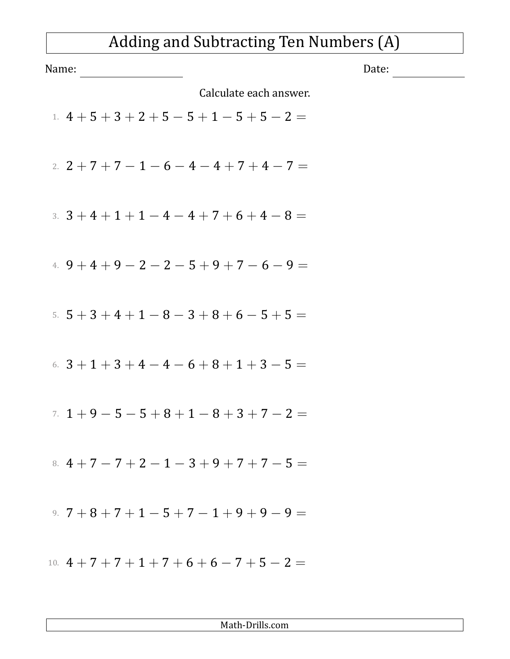## Adding and Subtracting Ten Numbers (A)

| Name:                                        | Date: |
|----------------------------------------------|-------|
| Calculate each answer.                       |       |
| 1. $4+5+3+2+5-5+1-5+5-2=$                    |       |
| 2. $2+7+7-1-6-4-4+7+4-7=$                    |       |
| 3. $3+4+1+1-4-4+7+6+4-8=$                    |       |
| 4. $9+4+9-2-2-5+9+7-6-9=$                    |       |
| 5. $5+3+4+1-8-3+8+6-5+5=$                    |       |
| 6. $3+1+3+4-4-6+8+1+3-5=$                    |       |
| $7. 1 + 9 - 5 - 5 + 8 + 1 - 8 + 3 + 7 - 2 =$ |       |
| 8. $4+7-7+2-1-3+9+7+7-5=$                    |       |
| 9. $7+8+7+1-5+7-1+9+9-9=$                    |       |
| 10. $4+7+7+1+7+6+6-7+5-2=$                   |       |